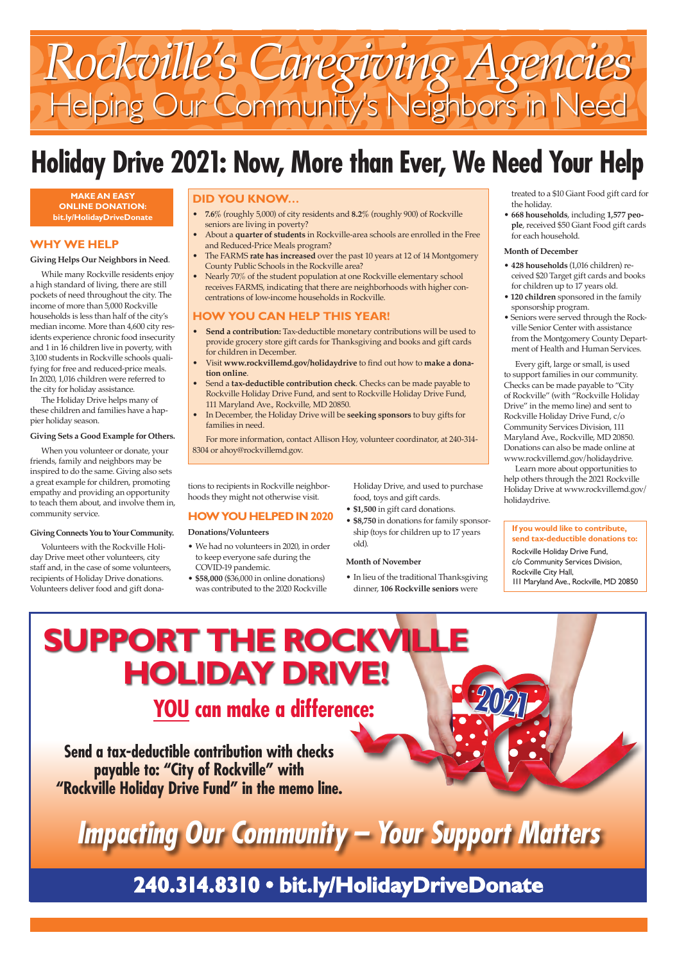# *Rockville's Caregiving Agencies* Helping Our Community's Neighbors in Need

tions to recipients in Rockville neighborhoods they might not otherwise visit.

#### **HOW YOU HELPED IN 2020**

**Donations/Volunteers**

- We had no volunteers in 2020, in order to keep everyone safe during the COVID-19 pandemic.
- **\$58,000** (\$36,000 in online donations) was contributed to the 2020 Rockville

# **Holiday Drive 2021: Now, More than Ever, We Need Your Help**

Holiday Drive, and used to purchase food, toys and gift cards.

- **\$1,500** in gift card donations.
- **\$8,750** in donations for family sponsorship (toys for children up to 17 years old).

#### **Month of November**

• In lieu of the traditional Thanksgiving dinner, **106 Rockville seniors** were

treated to a \$10 Giant Food gift card for the holiday.

• **668 households**, including **1,577 people**, received \$50 Giant Food gift cards for each household.

#### **Month of December**

- **428 households** (1,016 children) received \$20 Target gift cards and books for children up to 17 years old.
- **120 children** sponsored in the family sponsorship program.
- Seniors were served through the Rockville Senior Center with assistance from the Montgomery County Department of Health and Human Services.

Every gift, large or small, is used to support families in our community. Checks can be made payable to "City of Rockville" (with "Rockville Holiday Drive" in the memo line) and sent to Rockville Holiday Drive Fund, c/o Community Services Division, 111 Maryland Ave., Rockville, MD 20850. Donations can also be made online at www.rockvillemd.gov/holidaydrive.

Learn more about opportunities to help others through the 2021 Rockville Holiday Drive at www.rockvillemd.gov/ holidaydrive.

#### **If you would like to contribute, send tax-deductible donations to:**

Rockville Holiday Drive Fund, c/o Community Services Division, Rockville City Hall, 111 Maryland Ave., Rockville, MD 20850

#### **DID YOU KNOW…**

- **7.6%** (roughly 5,000) of city residents and **8.2%** (roughly 900) of Rockville seniors are living in poverty?
- About a **quarter of students** in Rockville-area schools are enrolled in the Free and Reduced-Price Meals program?
- The FARMS **rate has increased** over the past 10 years at 12 of 14 Montgomery County Public Schools in the Rockville area?
- Nearly 70% of the student population at one Rockville elementary school receives FARMS, indicating that there are neighborhoods with higher concentrations of low-income households in Rockville.

#### **HOW YOU CAN HELP THIS YEAR!**

- **Send a contribution:** Tax-deductible monetary contributions will be used to provide grocery store gift cards for Thanksgiving and books and gift cards for children in December.
- Visit **www.rockvillemd.gov/holidaydrive** to find out how to **make a donation online**.
- Send a **tax-deductible contribution check**. Checks can be made payable to Rockville Holiday Drive Fund, and sent to Rockville Holiday Drive Fund, 111 Maryland Ave., Rockville, MD 20850.
- In December, the Holiday Drive will be **seeking sponsors** to buy gifts for families in need.

For more information, contact Allison Hoy, volunteer coordinator, at 240-314- 8304 or ahoy@rockvillemd.gov.

## **240.314.8310 • bit.ly/HolidayDriveDonate**

**Send a tax-deductible contribution with checks** 

**payable to: "City of Rockville" with "Rockville Holiday Drive Fund" in the memo line.**



# **Impacting Our Community – Your Support Matters**

## **YOU can make a difference: 2021 SUPPORT THE ROCKVILLE HOLIDAY DRIVE!**

**MAKE AN EASY ONLINE DONATION: bit.ly/HolidayDriveDonate**

#### **WHY WE HELP**

#### **Giving Helps Our Neighbors in Need**.

While many Rockville residents enjoy a high standard of living, there are still pockets of need throughout the city. The income of more than 5,000 Rockville households is less than half of the city's median income. More than 4,600 city residents experience chronic food insecurity and 1 in 16 children live in poverty, with 3,100 students in Rockville schools qualifying for free and reduced-price meals. In 2020, 1,016 children were referred to the city for holiday assistance.

The Holiday Drive helps many of these children and families have a happier holiday season.

#### **Giving Sets a Good Example for Others.**

When you volunteer or donate, your friends, family and neighbors may be inspired to do the same. Giving also sets a great example for children, promoting empathy and providing an opportunity to teach them about, and involve them in, community service.

#### **Giving Connects You to Your Community.**

Volunteers with the Rockville Holiday Drive meet other volunteers, city staff and, in the case of some volunteers, recipients of Holiday Drive donations. Volunteers deliver food and gift dona-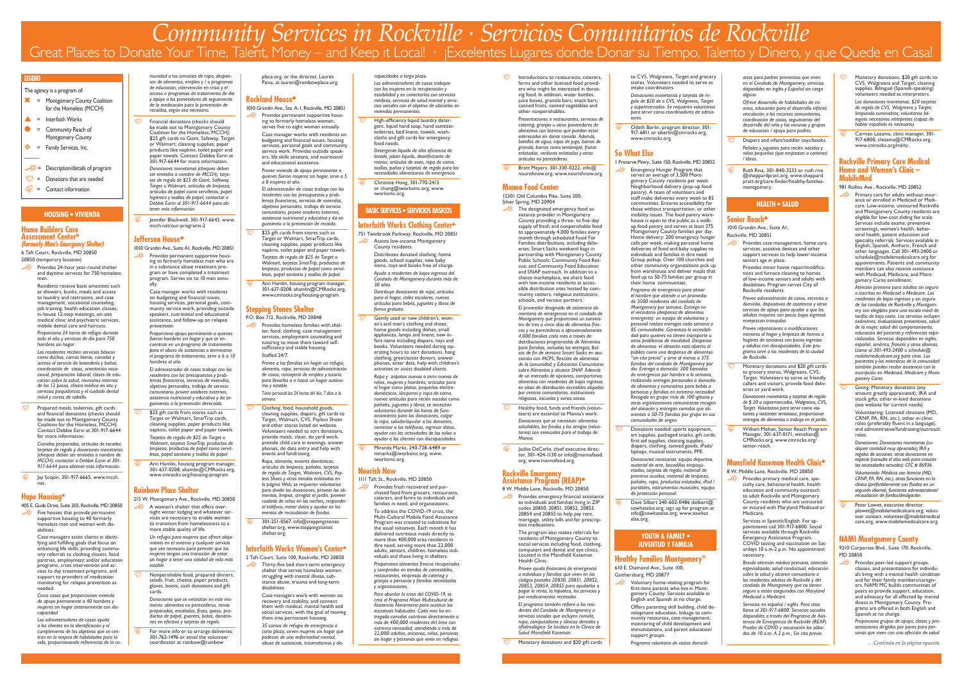*…Continúa en la página opuesta.*

#### **HOUSING • VIVIENDA**

#### **Home Builders Care Assessment Center**<sup>6</sup> **(formerly Men's Emergency Shelter)** 6 Taft Court, Rockville, MD 20850

**S** Jay Scopin, 301-917-6665, www.mcch. net.

- 20850 (temporary location)
- e Provides 24-hour year-round shelter and daytime services for 750 homeless men.
	- Residents receive basic amenities such as showers, bunks, meals and access to laundry and restrooms, and case management, vocational counseling, job training, health education classes, in-house 12-step meetings, on-site medical clinic and psychiatric services, mobile dental care and haircuts.
	- *Proporciona 24 horas de refugio durante todo el año y servicios de día para 750 hombres sin hogar.*
	- *Los residentes reciben servicios básicos como duchas, camas literas, comidas y acceso al servicio de lavandería y baños; coordinación de casos, orientación vocacional, preparación laboral, clases de educación sobre la salud, reuniones internas de los 12 pasos, clínica médica en situ y servicios psiquiátricos y el cuidado dental móvil y cortes de cabello.*
- Prepared meals, toiletries, gift cards and financial donations (checks should be made out to Montgomery County Coalition for the Homeless, MCCH). Contact Debbie Ezrin at 301-917-6644 for more information.

*Comidas preparadas, artículos de tocador, tarjetas de regalo y donaciones monetarias (cheques deben ser emitidos a nombre de MCCH); contactar a Debbie Ezrin al 301- 917-6644 para obtener más información.*

 $\otimes$  Financial donations (checks should be made out to Montgomery County Coalition for the Homeless, MCCH); \$25 gift cards to Giant, Safeway, Target or Walmart; cleaning supplies; paper products like napkins, toilet paper and paper towels. Contact Debbie Ezrin at 301-917-6644 for more information.

#### **Hope Housing**<sup>6</sup>

Fig. Jennifer Blackwell, 301-917-6643, www. mcch.net/our-programs-2

- 405 E. Gude Drive, Suite 203, Rockville, MD 20850
- e Five houses that provide permanent supportive housing to 40 formerly homeless men and women with disabilities.

Case managers assist clients in identifying and fulfilling goals that focus on enhancing life skills, providing community referrals to clothing closets, food pantries, employment and/or education programs, crisis intervention and access to day treatment programs, and support to providers of medication monitoring for relapse prevention as needed.

*Cinco casas que proporcionan vivienda de apoyo permanente a 40 hombres y mujeres sin hogar anteriormente con discapacidad.* 

\$25 gift cards from stores such as Target or Walmart, SmarTrip cards, cleaning supplies, paper products like napkins, toilet paper and paper towels. *Tarjetas de regalo de \$25 de Target o Walmart, tarjetas SmarTrip, productos de limpieza, productos de papel como servilletas, papel sanitario y toallas de papel*

Ann Hamlin, housing program manager, 301-637-0208, ahamlin@CMRocks.org, www.cmrocks.org/housing-program

*Los administradores de casos ayuda a los clientes en la identificación y el cumplimiento de los objetivos que se centran en la mejora de habilidades para la vida, proporcionando referencias de la co-* A women's shelter that offers overnight winter lodging and whatever services are necessary to enable women to transition from homelessness to a more stable quality of life.

*munidad a los armarios de ropa, despensas de alimentos, empleo y / o programas de educación, intervención en crisis y el acceso a programas de tratamiento de día y apoyo a los proveedores de seguimiento de la medicación para la prevención de recaídas, según sea necesario.*

Nonperishable food, prepared dinners, salads, fruit, cheese, paper products, gloves, boots, cash donations and gift cards.

For more info or to arrange deliveries: 301-762-1496 or email the volunteer coordinator at rainbow@rainbow

*Donaciones monetarias (cheques deben ser emitidos a nombre de MCCH), tarjetas de regalo de \$25 de Giant, Safeway, Target o Walmart, artículos de limpieza, artículos de papel como servilletas, papel higiénico y toallas de papel; contactar a Debbie Ezrin al 301-917-6644 para obtener más información*

> \$25 gift cards from stores such as Target or Walmart, SmarTrip cards, cleaning supplies, paper products like napkins, toilet paper and paper towels. *Tarjetas de regalo de \$25 de Target o Walmart, tarjetas SmarTrip, productos de limpieza, productos de papel como servilletas, papel sanitario y toallas de papel.*

#### **Jefferson House**<sup>l</sup>

**R** Ann Hamlin, housing program manager, 301-637-0208, ahamlin@CMRocks.org, www.cmrocks.org/housing-program.

1010 Grandin Ave., Suite A1, Rockville, MD 20851 Provides permanent supportive housing to formerly homeless men who are in a substance abuse treatment program or have completed a treatment program. Serves six to 10 men annually.

> Provides homeless families with shelter, food, clothing, case management services, employment counseling and tutoring to move them toward selfsufficiency and stable housing. Staffed 24/7.

Case manager works with residents on budgeting and financial issues, housing services, personal goals, community service work, providing outside speakers, nutritional and educational assistance, and follow-up on relapse prevention.

> Clothing, food, household goods, cleaning supplies, diapers, gift cards to Target, Walmart, CVS, Payless Shoes and other stores listed on website. Volunteers needed to sort donations, provide meals, clean, do yard work, .<br>provide child care in evenings, answer phones, do data entry and help with events and fundraising.

*Proporciona apoyo permanente a quienes fueron hombres sin hogar y que se encuentran en un programa de tratamiento para el abuso de sustancias o terminaron el programa de tratamiento, sirve a 6 a 10 hombres al año.*

> 301-251-0567, info@steppingstones shelter.org, www.steppingstones shelter.org.

*El administrador de casos trabaja con los residentes con los presupuestos y problemas financieros, servicios de viviendas, objetivos personales, trabajo de servicio comunitario, provee oradores externos, asistencia nutricional y educativa y da seguimiento a la prevención derecaída.*

High-efficiency liquid laundry detergent, liquid hand soap, hand sanitizer, toiletries, bed linens, towels, washcloths and gift cards for emergency food needs. *Detergente líquido de alta eficiencia de* 

Christine Hong, 301-770-2413 or chong@iworksmc.org, www. iworksmc.org.

#### **Rainbow Place Shelter**

215 W. Montgomery Ave., Rockville, MD 20850

*Un refugio para mujeres que ofrece alojamiento en el invierno y cualquier servicio que sea necesario para permitir que las mujeres tengan una transición de estar sin hogar a tener una calidad de vida más estable.* 

Gently used or new children's, women's and men's clothing and shoes; home goods including dishes, small appliances, lamps and linens; new infant items including diapers, toys and books. Volunteers needed during operating hours to sort donations, hang clothing, greet/assist donors, answer phones, enter data, help with children's activities or assist disabled clients.

**Miranda Marks, 240-728-6489 or** mmarks@iworksmc.org, www. iworksmc.org.

*Donaciones que se necesitan en este momento: alimentos no perecederos, cenas preparadas, ensaladas, fruta, queso, productos de papel, guantes, botas, donaciones en efectivo y tarjetas de regalo.*

place.org, or the director, Lauren Paiva, at lauren@rainbowplace.org.

#### **Rockland House**

1010 Grandin Ave., Ste. A-1, Rockville, MD 20851 Provides permanent supportive housing to formerly homeless women; serves five to eight women annually.

> Case manager works with residents on budgeting and financial issues, housing services, personal goals and community service work. Provides outside speakers, life skills sessions, and nutritional and educational assistance.

 $\ddot{\otimes}$  Introductions to restaurants, caterers, farms and other licensed food providers who might be interested in donating food. In addition, water bottles, juice boxes, granola bars, snack bars, canned fruits, canned vegetables and other nonperishables.

*Provee vivienda de apoyo permanente a quienes fueron mujeres sin hogar, sirve a 5 a 8 mujeres al año.*

Brett Meyers, 301-330-0222, info@ nourishnow.org, www.nourishnow.org.

*El administrador de casos trabaja con los residentes con los presupuestos y problemas financieros, servicios de viviendas, objetivos personales, trabajo de servicio comunitario, provee oradores externos, asistencia nutricional y educativa y da seguimiento a la prevención de recaída.* 

#### **Stepping Stones Shelter**

P.O. Box 712, Rockville, MD 20848

Healthy food, funds and friends (volunteers) are essential to Manna's work. *Donaciones que se necesitan: alimentos saludables, los fondos y los amigos (voluntarios) son esenciales para el trabajo de* 

**S** Jackie DeCarlo, chief executive director, 301-424-1130 or info@mannafood. org, www.mannafood.org.

*Provee a las familias sin hogar un refugio, alimento, ropa, servicios de administración de casos, consejería de empleo y tutoría para llevarlos a ir hacia un hogar autónomo y estable.*

*Tiene personal las 24 horas del día, 7 días a la semana.*

Odeth Berlin, program director, 301-917-6811 or oberlin@cmrocks.org, www.cmrocks.org.

*Ropa, alimento, enseres domésticos, artículos de limpieza, pañales, tarjetas de regalo de Target, Walmart, CVS, Payless Shoes y otras tiendas enlistadas en la página Web; se requieren voluntarios para dividir las donaciones, proveer los alimentos, limpiar, arreglar el jardín, proveer cuidado de niños en las noches, responder el teléfono, meter datos y ayudar en los eventos de recaudación de fondos.*

#### **Interfaith Works Women's Center**<sup>s</sup>

- 2 Taft Court, Suite 100, Rockville, MD 20850 Thirty-five bed short-term emergency بَيْنِهِ
	- shelter that serves homeless women struggling with mental illness, substance abuse, trauma and long-term disabilities.

Case managers work with women on recovery and stability, and connect them with medical, mental health and social services, with the goal of moving them into permanent housing.

*35 camas de refugio de emergencia a corto plazo, sirven mujeres sin hogar que padecen de una enfermedad mental, abuso de sustancias, traumatismos y dis-* *capacidades a largo plazo.*

**the Donations needed: sports equipment,** art supplies, packaged snacks, gift cards, first aid supplies, cleaning supplies, diapers, clothing, canned goods, iPads/ laptops, musical instruments, PPE. *Donaciones necesarias: equipo deportivo, material de arte, bocadillos empaquetados, tarjetas de regalo, material de primeros auxilios, material de limpieza, pañales, ropa, productos enlatados, iPad / portátiles, instrumentos musicales, equipo de protección personal.*

*Los administradores de casos trabajan con las mujeres en la recuperación y estabilidad y en conectarlas con servicios médicos, servicios de salud mental y servicios sociales con el objetivo de ubicarlos en viviendas permanentes.*

> Dave Silbert 240-602-0486 dsilbert@ sowhatelse.org; sign up for program at info@sowhatelse.org, www.sowhat else.org.

#### **Healthy Families Montgomery**<sup>\*</sup> 610 E. Diamond Ave., Suite 100,

*lavado, jabón líquido, desinfectante de manos, artículos de aseo, ropa de cama, toallas, paños y tarjetas de regalo para las necesidades alimentarias de emergencia.*

- **Diapers and infant/toddler toys/books.** *Pañales y juguetes para recién nacidos y niños pequeños (que empiezan a caminar) / libros.*
- R Ruth Riva, 301-840-3233 or ruth.riva @sheppardpratt.org, www.sheppard pratt.org/care-finder/healthy-familiesmontgomery.

#### **BASIC SERVICES • SERVICIOS BASICOS**

#### **Interfaith Works Clothing Center**

- 751 Twinbrook Parkway, Rockville, MD 20851 e Assists low-income Montgomery
	- County residents. Distributes donated clothing, home goods, school supplies, new baby items, toys and books free of charge. *Ayuda a residentes de bajos ingresos del Condado de Montgomery durante más de 30 años.*

*Distribuye donaciones de ropa, artículos para el hogar, útiles escolares, nuevos artículos para bebés, juguetes y libros de forma gratuita.*

> Monetary donations and \$20 gift cards to grocery stores, Walgreens, CVS, Target. Volunteers to serve as friendly callers and visitors, provide food deliveries or yard work.

William Mohan, Senior Reach Program Manager, 301-637-0171, wmohan@ CMRocks.org, www.cmrocks.org/ senior-reach.

Provides primary medical care, specialty care, behavioral health, health education and community outreach to adult Rockville and Montgomery County residents who are uninsured or insured with Maryland Medicaid or Medicare.

*Ropa y zapatos nuevos o semi nuevos de niños, mujeres y hombres; artículos para el hogar como platos, pequeños electrodomésticos, lámparas y ropa de cama, nuevos artículos para recién nacidos como pañales, juguetes y libros; se necesitan voluntarios durante las horas de funcionamiento para las donaciones, colgar la ropa, saludar/ayudar a los donantes, contestar a los teléfonos, ingresar datos, ayudar con las actividades de los niños o ayudar a los clientes con discapacidades.*

 $\otimes$  Monetary donations, \$20 gift cards to CVS, Walgreens and Target; cleaning supplies. Bilingual (Spanish-speaking) volunteers needed as interpreters. *Las donaciones monetarias, \$20 tarjetas* 

Carmen Lezama, clinic manager, 301-917-6800, clezama@CMRocks.org, www.cmrocks.org/mkhc.

#### **Nourish Now**

1111 Taft St., Rockville, MD 20850 e Provides fresh recovered and pur-

chased food from grocers, restaurants, caterers, and farms to individuals and families in need, and organizations. To address the COVID-19 crisis, the Multi-Cultural Mobile Food Assistance Program was created to substitute for the usual initiatives. Each month it has delivered nutritious meals directly to more than 400,000 area residents in dire need, serving more than 22,000 adults, seniors, children, homeless indiPrimary care for adults without insurance or enrolled in Medicaid or Medicare. Low-income, uninsured Rockville and Montgomery County residents are eligible for low-cost sliding fee scale. Services include exams, preventive screenings, women's health, behavioral health, patient education and specialty referrals. Services available in English, Spanish, Amharic, French and other languages. Call 301-493-2400 or schedule@mobilemedicalcare.org for appointments. Patients and community members can also receive assistance with Medicaid, Medicare, and Montgomery Cares enrollment.

viduals and those living in shelters. *Proporciona alimentos frescos recuperados y comprados en tiendas de comestibles, restaurantes, empresas de catering y granjas a personas y familias necesitadas y organizaciones.*

Giving: Monetary donations (any amount greatly appreciated);  $l$ RA and stock gifts; other in-kind donations (see website for current needs).

*Para abordar la crisis del COVID-19, se creó el Programa Móvil Multicultural de Asistencia Alimentaria para sustituir las iniciativas habituales. Cada mes ha entregado comidas nutritivas directamente a más de 400,000 residentes del área con extrema necesidad, atendiendo a más de 22,000 adultos, ancianos, niños, personas sin hogar y personas que viven en refugios.*

Peter Lowet, executive director, plowet@mobilemedicalcare.org; volunteer contact: volunteer@mobilemedical care.org, www.mobilemedicalcare.org.

*Presentaciones a restaurantes, servicios de catering, granjas u otros proveedores de alimentos con licencia que puedan estar interesados en donar comida. Además, botellas de agua, cajas de jugo, barras de granola, barras como tentempié, frutas enlatadas, verduras enlatadas y otros artículos no perecederos.*

#### **Manna Food Center**

12301 Old Columbia Pike, Suite 200, Silver Spring, MD 20904

e The designated emergency food assistance provider in Montgomery County providing a three- to five-day supply of fresh and nonperishable food to approximately 4,000 families every month through scheduled Food For Families distributions, including deliveries; Smart Sacks weekend bags in partnership with Montgomery County Public Schools; Community Food Rescue; and Community Food Education and SNAP outreach. In addition to a choice marketplace, we share food with low-income residents at accessible distribution sites hosted by community centers, religious institutions,

schools, and various partners.

*El proveedor designado de asistencia alimentaria de emergencia en el condado de Montgomery que proporciona un suministro de tres a cinco días de alimentos frescos y no perecederos a aproximadamente 4,000 familias cada mes a través de distribuciones programadas de Alimentos para familias, incluidas las entregas; Bolsas de fin de semana Smart Sacks en asociación con MCPS; Rescate de alimentos de la comunidad; y Educación Comunitaria sobre Alimentos y alcance SNAP. Además de un mercado de opciones, compartimos alimentos con residentes de bajos ingresos en sitios de distribución accesibles alojados por centros comunitarios, instituciones religiosas, escuelas y varios socios.* 

*Manna.*

## **Rockville Emergency**

## **Assistance Program (REAP)**<sup>l</sup>

8 W. Middle Lane, Rockville, MD 20850 <u>المجازئي</u>ة: Provides emergency financial assistance to individuals and families living in ZIP codes 20850, 20851, 20852, 20853, 20854 and 20855 to help pay rent, mortgage, utility bills and for prescription medications.

> The program also makes referrals for residents of Montgomery County to social services including food, clothing, computers and dental and eye clinics. Located in the Mansfield Kaseman

# Health Clinic.

*Provee ayuda financiera de emergencia a individuos y familias que viven en los códigos postales 20850, 20851, 20852, 20853, 20854, 20855 para ayudarlos a pagar la renta, la hipoteca, los servicios y por medicamentos recetados.*

Monetary donations and \$20 gift cards

*El programa también refiere a los residentes del Condado de Montgomery a servicios sociales que incluyen comida, ropa, computadores y clínicas dentales y oftalmológica. Se localiza en la Clínica de Salud Mansfield Kaseman.*

to CVS, Walgreens, Target and grocery stores. Volunteers needed to serve as intake coordinators.

*Donaciones monetarias y tarjetas de regalo de \$20 de o CVS, Walgreens, Target y supermercados. Se requieren voluntarios para servir cómo coordinadores de admisiones.*

#### **So What Else**

1 Preserve Pkwy., Suite 150, Rockville, MD 20852

e Emergency Hunger Program that serves an average of 3,500 Montgomery County residents per week. Neighborhood delivery (pop-up food pantry). A team of volunteers and staff make deliveries every week to 85 communities. Ensures accessibility for those without transportation, or other mobility issues. The food pantry warehouse is open to the public as a walkup food pantry and serves at least 375 Montgomery County families per day. Home delivery: 200 emergency hunger calls per week, making personal home deliveries of food and baby supplies to individuals and families in dire need. Group pickup: Over 100 churches and other community organizations pick up from warehouse and deliver meals that feed up to 50-75 families per group in their home communities.

> *Programa de emergencia para aliviar el hambre que atiende a un promedio de 3500 residentes del condado de Montgomery por semana. Entrega en el vecindario (despensa de alimentos emergente): un equipo de voluntarios y personal realiza entregas cada semana a 85 comunidades. Garantiza la accesibilidad para quienes no tienen transporte u otros problemas de movilidad. Despensa de alimentos: el almacén está abierto al público como una despensa de alimentos "sin cita previa" y sirve al menos a 375 familias del condado de Montgomery por día. Entrega a domicilio: 200 llamadas de emergencia por hambre a la semana, realizando entregas personales a domicilio de alimentos y suministros para bebés a personas y familias en extrema necesidad. Recogida en grupo: más de 100 iglesias y otras organizaciones comunitarias recogen del almacén y entregan comidas que alimentan a 50-75 familias por grupo en sus comunidades de origen.*

#### **YOUTH & FAMILY • JUVENTUD Y FAMILIA**

Gaithersburg, MD 20877

- e Voluntary home-visiting program for first-time parents who live in Montgomery County. Services available in English and Spanish at no charge.
	- Offers parenting skill building, child development education, linkage to community resources, case management, monitoring of child development and immunizations, and parent education/ support groups.

*Programa voluntario de visitas domicili-*

*arias para padres primerizos que viven en el Condado de Montgomery; servicios disponibles en inglés y Español sin cargo alguno.*

*Ofrece desarrollo de habilidades de crianza, educación para el desarrollo infantil, vinculación a los recursos comunitarios, coordinación de casos, seguimiento del desarrollo del niño y las vacunas y grupos de educación / apoyo para padres.*

#### **HEALTH • SALUD**

#### **Senior Reach<sup>®</sup>**

1010 Grandin Ave., Suite A1,

Rockville, MD 20851

- e Provides case management, home care services, assistive devices and other support services to help lower-income seniors age in place.
	- Provides minor home repair/modifications and furnace cleaning to homes of low-income seniors and adults with disabilities. Program serves City of Rockville residents.

*Provee administración de casos, servicios a domicilio, dispositivos de asistencia y otros servicios de apoyo para ayudar a que los adultos mayores con pocos bajos ingresos envejezcan tranquilos.*

*Provee reparaciones o modificaciones menores al hogar y limpieza de hornos a hogares de ancianos con pocos ingresos y adultos con discapacidades. Este programa sirve a los residentes de la ciudad de Rockville.*

*Donaciones monetarias y tarjetas de regalo de \$ 20 a supermercados, Walgreens, CVS, Target. Voluntarios para servir como visitantes y visitantes amistosos, proporcionar entregas de alimentos o trabajo en el jardín.*

#### **Mansfield Kaseman Health Clinic**<sup>l</sup>

8 W. Middle Lane, Rockville, MD 20850

Services in Spanish/English. For appointments call 301-917-6800. Social services available through Rockville Emergency Assistance Program. COVID testing and vaccination on Saturdays 10 a.m-2 p.m. No appointment necessary.

*Brinda atención médica primaria, atención especializada, salud conductual, educación sobre la salud y alcance comunitario a los residentes adultos de Rockville y del condado de Montgomery que no tienen seguro o están asegurados con Maryland Medicaid o Medicare.*

*Servicios en español / inglés. Para citas llame al 301-917-6800. Servicios sociales disponibles a través del Programa de Asistencia de Emergencia de Rockville (REAP). Prueba de COVID y vacunación los sábados de 10 a.m. A 2 p.m., Sin cita previa.*

*de regalo de CVS, Walgreens y Target; limpiando suministros; voluntarios bilingües necesarios intérpretes (capaz de hablar española es necesario)*

#### **Rockville Primary Care Medical Home and Women's Clinic – MobileMed**

981 Rollins Ave., Rockville, MD 20852

*Atención primaria para adultos sin seguro o inscritos en Medicaid o Medicare. Los residentes de bajos ingresos y sin seguro de los condados de Rockville y Montgomery son elegibles para una escala móvil de tarifas de bajo costo. Los servicios incluyen exámenes, evaluaciones preventivas, salud de la mujer, salud del comportamiento, educación del paciente y referencias especializadas. Servicios disponibles en inglés, español, amárico, francés y otros idiomas. Llame al 301-493-2400 o schedule@ mobilemedicalcare.org para citas. Los pacientes y los miembros de la comunidad también pueden recibir asistencia con la inscripción en Medicaid, Medicare y Montgomery Cares.*

Volunteering: Licensed clinicians (MD, CRNP, PA, RN, etc.), other in-clinic roles (preferably fluent in a language), and administrative/fundraising/outreach roles.

*Donaciones: Donaciones monetarias (cualquier cantidad muy apreciada); IRA y regalos de acciones: otras donaciones en especie (consulte el sitio web para conocer las necesidades actuales): CFC # 86936.*

*Voluntariado: Médicos con licencia (MD, CRNP, PA, RN, etc.), otras funciones en la clínica (preferiblemente con fluidez en un segundo idioma), funciones administrativas/ recaudación de fondos/divulgación.*

#### **NAMI Montgomery County**

9210 Corporate Blvd., Suite 170, Rockville, MD 20850

e Provides peer-led support groups, classes, and presentations for individuals living with a mental health condition and for their family members/caregivers. NAMI MC builds communities of peers to provide support, education, and advocacy for all affected by mental illness in Montgomery County. Programs are offered in both English and Spanish at no charge.

*Proporciona grupos de apoyo, clases y presentaciones dirigidos por pares para personas que viven con una afección de salud* 

# Community Services in Rockville • Servicios Comunitarios de Rockville<br>Great Places to Donate Your Time, Talent, Money — and Keep it Local! • ¡Excelentes Lugares donde Donar su Tiempo, Talento y Dinero, y que Quede en Casa!

#### **LEGEND**

#### The agency is a program of:

- \* = Montgomery County Coalition for the Homeless (MCCH)
- $\triangle$  = Interfaith Works
- $\bullet$  = Community Reach of Montgomery County
- $\bullet \bullet =$  Family Services, Inc.
- –––––
- e= Description/details of program
- $\ddot{\ddot{\otimes}}$  = Donations that are needed
- $\mathbb{C}$  = Contact information